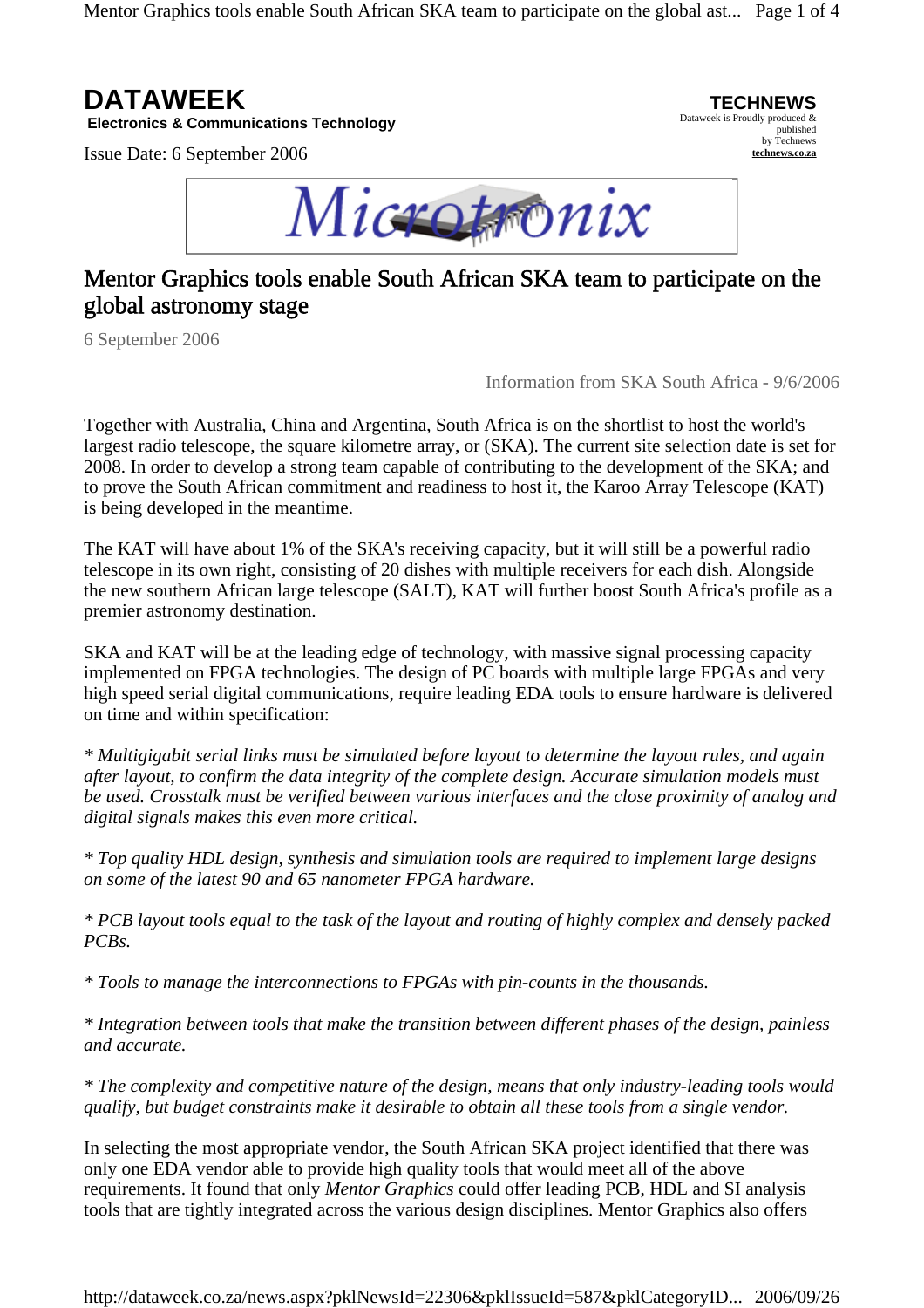Mentor Graphics tools enable South African SKA team to participate on the global ast... Page 1 of 4



**Electronics & Communications Technology** 

Issue Date: 6 September 2006



# Mentor Graphics tools enable South African SKA team to participate on the global astronomy stage

6 September 2006

Information from SKA South Africa - 9/6/2006

**TECHNEWS** Dataweek is Proudly produced &

published by Technews **technews.co.za**

Together with Australia, China and Argentina, South Africa is on the shortlist to host the world's largest radio telescope, the square kilometre array, or (SKA). The current site selection date is set for 2008. In order to develop a strong team capable of contributing to the development of the SKA; and to prove the South African commitment and readiness to host it, the Karoo Array Telescope (KAT) is being developed in the meantime.

The KAT will have about 1% of the SKA's receiving capacity, but it will still be a powerful radio telescope in its own right, consisting of 20 dishes with multiple receivers for each dish. Alongside the new southern African large telescope (SALT), KAT will further boost South Africa's profile as a premier astronomy destination.

SKA and KAT will be at the leading edge of technology, with massive signal processing capacity implemented on FPGA technologies. The design of PC boards with multiple large FPGAs and very high speed serial digital communications, require leading EDA tools to ensure hardware is delivered on time and within specification:

*\* Multigigabit serial links must be simulated before layout to determine the layout rules, and again after layout, to confirm the data integrity of the complete design. Accurate simulation models must be used. Crosstalk must be verified between various interfaces and the close proximity of analog and digital signals makes this even more critical.* 

*\* Top quality HDL design, synthesis and simulation tools are required to implement large designs on some of the latest 90 and 65 nanometer FPGA hardware.* 

*\* PCB layout tools equal to the task of the layout and routing of highly complex and densely packed PCBs.* 

*\* Tools to manage the interconnections to FPGAs with pin-counts in the thousands.* 

*\* Integration between tools that make the transition between different phases of the design, painless and accurate.* 

*\* The complexity and competitive nature of the design, means that only industry-leading tools would qualify, but budget constraints make it desirable to obtain all these tools from a single vendor.*

In selecting the most appropriate vendor, the South African SKA project identified that there was only one EDA vendor able to provide high quality tools that would meet all of the above requirements. It found that only *Mentor Graphics* could offer leading PCB, HDL and SI analysis tools that are tightly integrated across the various design disciplines. Mentor Graphics also offers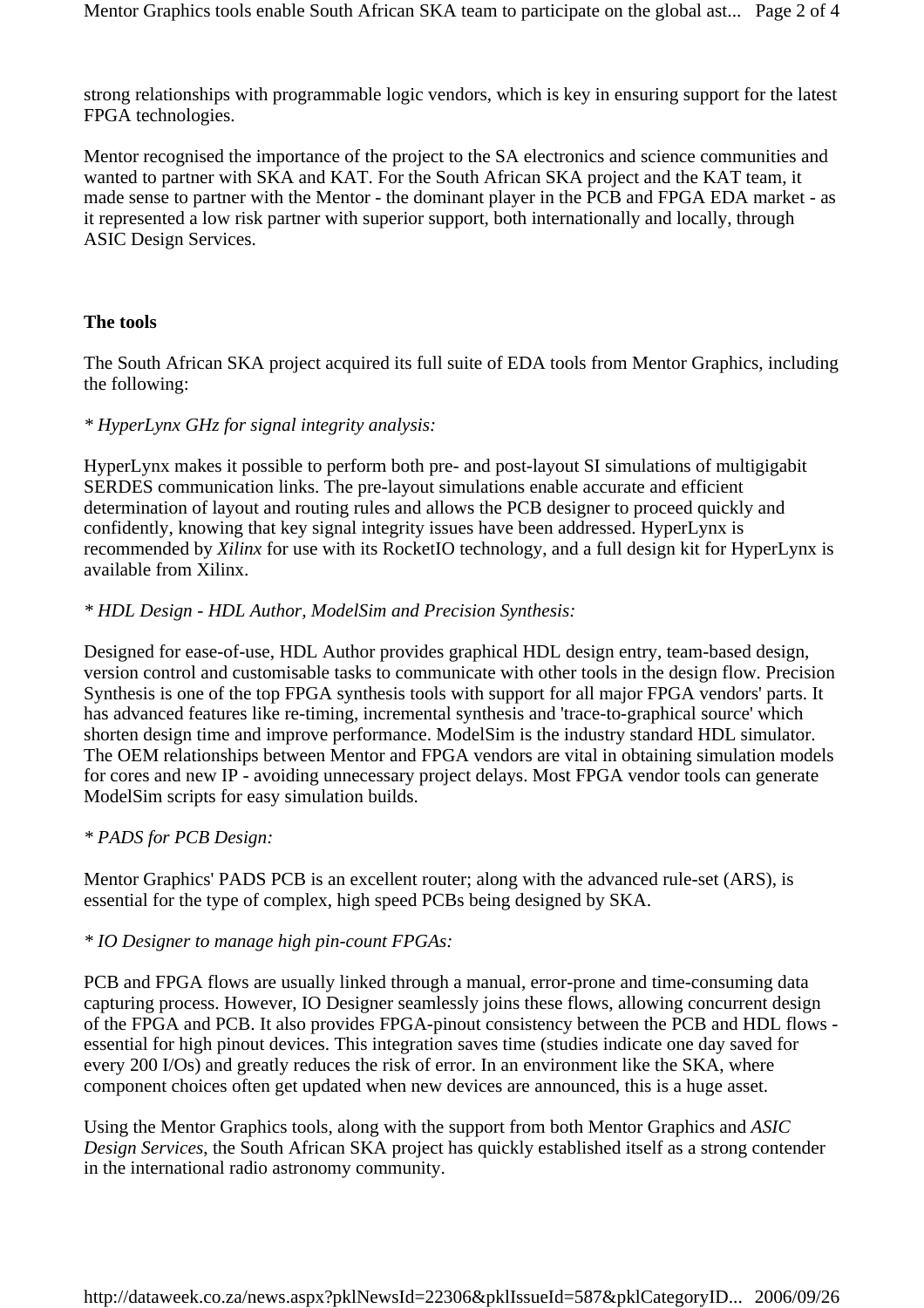strong relationships with programmable logic vendors, which is key in ensuring support for the latest FPGA technologies.

Mentor recognised the importance of the project to the SA electronics and science communities and wanted to partner with SKA and KAT. For the South African SKA project and the KAT team, it made sense to partner with the Mentor - the dominant player in the PCB and FPGA EDA market - as it represented a low risk partner with superior support, both internationally and locally, through ASIC Design Services.

### **The tools**

The South African SKA project acquired its full suite of EDA tools from Mentor Graphics, including the following:

## *\* HyperLynx GHz for signal integrity analysis:*

HyperLynx makes it possible to perform both pre- and post-layout SI simulations of multigigabit SERDES communication links. The pre-layout simulations enable accurate and efficient determination of layout and routing rules and allows the PCB designer to proceed quickly and confidently, knowing that key signal integrity issues have been addressed. HyperLynx is recommended by *Xilinx* for use with its RocketIO technology, and a full design kit for HyperLynx is available from Xilinx.

## *\* HDL Design - HDL Author, ModelSim and Precision Synthesis:*

Designed for ease-of-use, HDL Author provides graphical HDL design entry, team-based design, version control and customisable tasks to communicate with other tools in the design flow. Precision Synthesis is one of the top FPGA synthesis tools with support for all major FPGA vendors' parts. It has advanced features like re-timing, incremental synthesis and 'trace-to-graphical source' which shorten design time and improve performance. ModelSim is the industry standard HDL simulator. The OEM relationships between Mentor and FPGA vendors are vital in obtaining simulation models for cores and new IP - avoiding unnecessary project delays. Most FPGA vendor tools can generate ModelSim scripts for easy simulation builds.

## *\* PADS for PCB Design:*

Mentor Graphics' PADS PCB is an excellent router; along with the advanced rule-set (ARS), is essential for the type of complex, high speed PCBs being designed by SKA.

### *\* IO Designer to manage high pin-count FPGAs:*

PCB and FPGA flows are usually linked through a manual, error-prone and time-consuming data capturing process. However, IO Designer seamlessly joins these flows, allowing concurrent design of the FPGA and PCB. It also provides FPGA-pinout consistency between the PCB and HDL flows essential for high pinout devices. This integration saves time (studies indicate one day saved for every 200 I/Os) and greatly reduces the risk of error. In an environment like the SKA, where component choices often get updated when new devices are announced, this is a huge asset.

Using the Mentor Graphics tools, along with the support from both Mentor Graphics and *ASIC Design Services*, the South African SKA project has quickly established itself as a strong contender in the international radio astronomy community.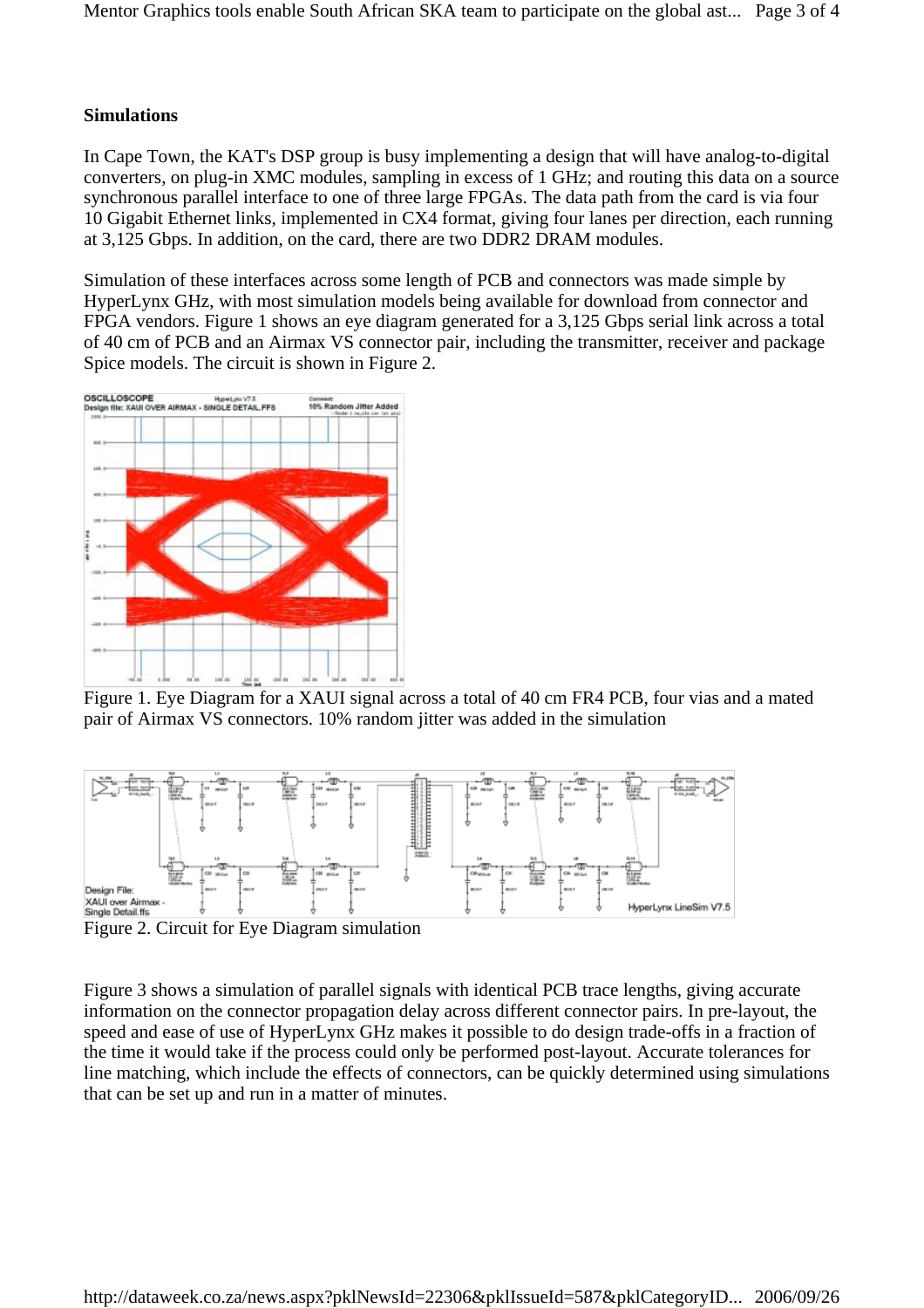#### **Simulations**

In Cape Town, the KAT's DSP group is busy implementing a design that will have analog-to-digital converters, on plug-in XMC modules, sampling in excess of 1 GHz; and routing this data on a source synchronous parallel interface to one of three large FPGAs. The data path from the card is via four 10 Gigabit Ethernet links, implemented in CX4 format, giving four lanes per direction, each running at 3,125 Gbps. In addition, on the card, there are two DDR2 DRAM modules.

Simulation of these interfaces across some length of PCB and connectors was made simple by HyperLynx GHz, with most simulation models being available for download from connector and FPGA vendors. Figure 1 shows an eye diagram generated for a 3,125 Gbps serial link across a total of 40 cm of PCB and an Airmax VS connector pair, including the transmitter, receiver and package Spice models. The circuit is shown in Figure 2.



Figure 1. Eye Diagram for a XAUI signal across a total of 40 cm FR4 PCB, four vias and a mated pair of Airmax VS connectors. 10% random jitter was added in the simulation



Figure 2. Circuit for Eye Diagram simulation

Figure 3 shows a simulation of parallel signals with identical PCB trace lengths, giving accurate information on the connector propagation delay across different connector pairs. In pre-layout, the speed and ease of use of HyperLynx GHz makes it possible to do design trade-offs in a fraction of the time it would take if the process could only be performed post-layout. Accurate tolerances for line matching, which include the effects of connectors, can be quickly determined using simulations that can be set up and run in a matter of minutes.